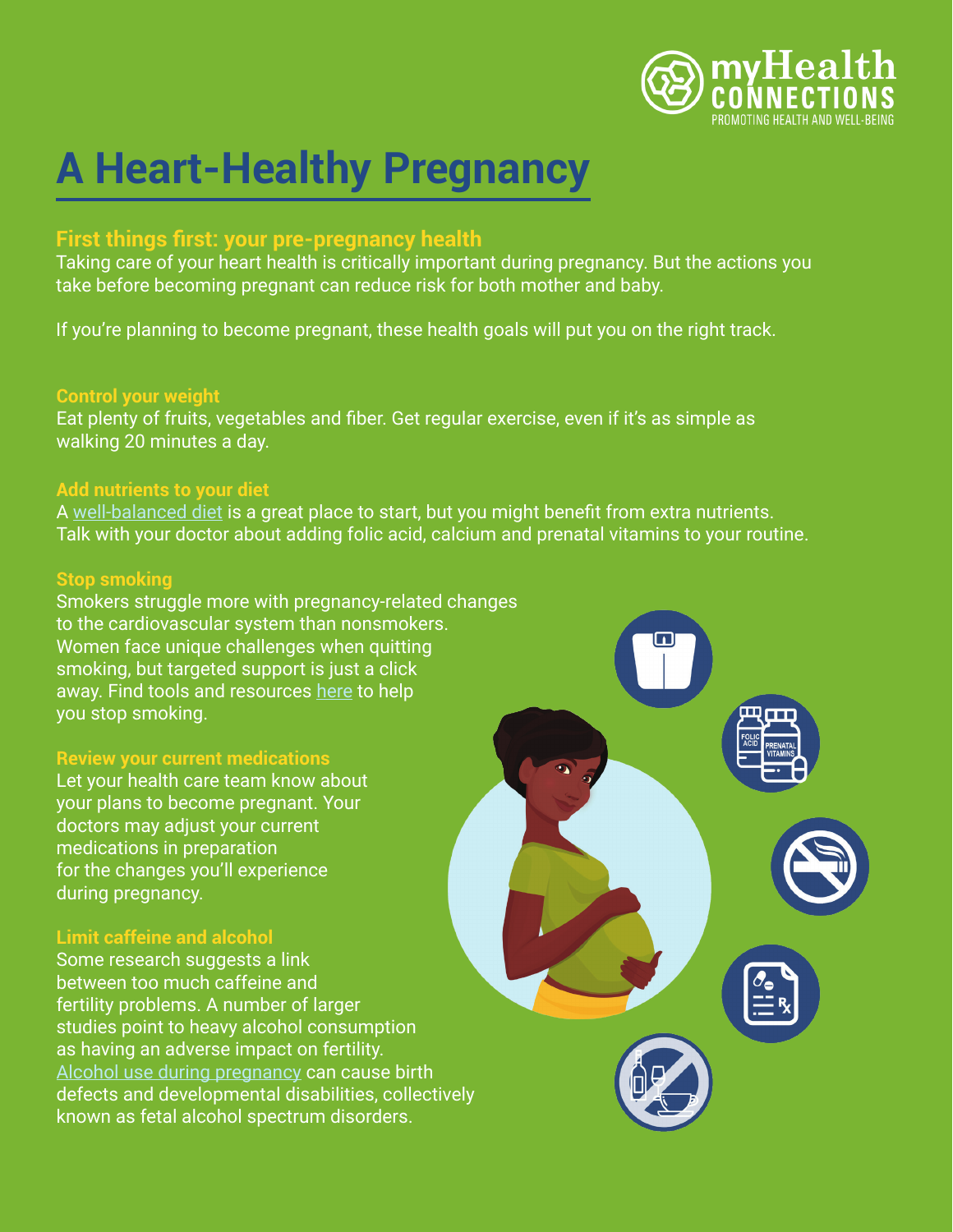

# **A Heart-Healthy Pregnancy**

# **First things first: your pre-pregnancy health**

Taking care of your heart health is critically important during pregnancy. But the actions you take before becoming pregnant can reduce risk for both mother and baby.

If you're planning to become pregnant, these health goals will put you on the right track.

#### **Control your weight**

Eat plenty of fruits, vegetables and fiber. Get regular exercise, even if it's as simple as walking 20 minutes a day.

### **Add nutrients to your diet**

A [well-balanced diet](https://www.healthline.com/health/pregnancy/tips-to-get-your-body-ready-for-pregnancy#1.-Maintain-a-healthy-weight) is a great place to start, but you might benefit from extra nutrients. Talk with your doctor about adding folic acid, calcium and prenatal vitamins to your routine.

#### **Stop smoking**

Smokers struggle more with pregnancy-related changes to the cardiovascular system than nonsmokers. Women face unique challenges when quitting smoking, but targeted support is just a click away. Find tools and resources [here](https://women.smokefree.gov/quit-smoking-women) to help you stop smoking.

#### **Review your current medications**

Let your health care team know about your plans to become pregnant. Your doctors may adjust your current medications in preparation for the changes you'll experience during pregnancy.

## **Limit caffeine and alcohol**

Some research suggests a link between too much caffeine and fertility problems. A number of larger studies point to heavy alcohol consumption as having an adverse impact on fertility. [Alcohol use during pregnancy](https://www.cdc.gov/ncbddd/fasd/features/alcohol-use-during-pregnancy.html) can cause birth defects and developmental disabilities, collectively known as fetal alcohol spectrum disorders.